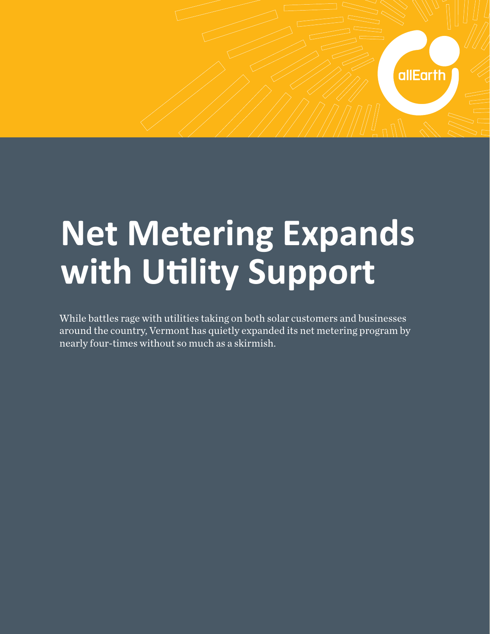## **Net Metering Expands with Utlity Support**

allEarth

While battles rage with utilities taking on both solar customers and businesses around the country, Vermont has quietly expanded its net metering program by nearly four-times without so much as a skirmish.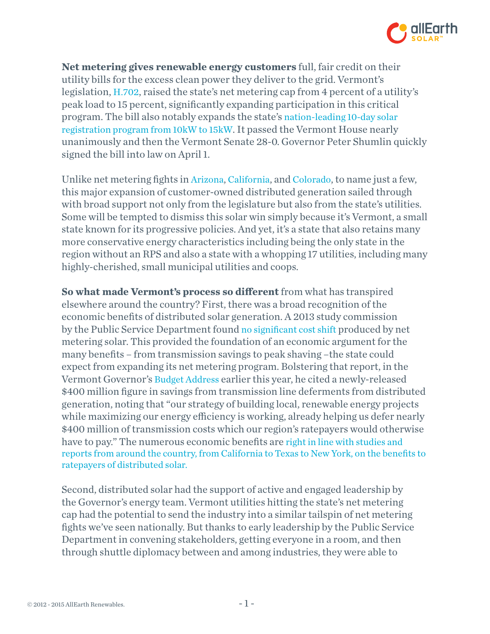

**Net metering gives renewable energy customers** full, fair credit on their utility bills for the excess clean power they deliver to the grid. Vermont's legislation, H.702, raised the state's net metering cap from 4 percent of a utility's peak load to 15 percent, significantly expanding participation in this critical program. The bill also notably expands the state's [nation-leading 10-day solar](http://www.greentechmedia.com/articles/read/has-vermont-solved-the-solar-permitting-problem1)  [registration program from 10kW to 15kW.](http://www.greentechmedia.com/articles/read/has-vermont-solved-the-solar-permitting-problem1) It passed the Vermont House nearly unanimously and then the Vermont Senate 28-0. Governor Peter Shumlin quickly signed the bill into law on April 1.

Unlike net metering fights in [Arizona,](http://votesolar.org/2013/11/15/arizona-stands-strong-for-solar-rights/) [California](http://votesolar.org/2014/03/27/cpuc-decision-creates-certainty-for-existing-net-metering-customers/), and [Colorado,](http://votesolar.org/2014/03/25/colorado-shout-out-for-solar-rights/) to name just a few, this major expansion of customer-owned distributed generation sailed through with broad support not only from the legislature but also from the state's utilities. Some will be tempted to dismiss this solar win simply because it's Vermont, a small state known for its progressive policies. And yet, it's a state that also retains many more conservative energy characteristics including being the only state in the region without an RPS and also a state with a whopping 17 utilities, including many highly-cherished, small municipal utilities and coops.

**So what made Vermont's process so diferent** from what has transpired elsewhere around the country? First, there was a broad recognition of the economic benefits of distributed solar generation. A 2013 study commission by the Public Service Department found [no significant cost shift](http://www.leg.state.vt.us/reports/2013ExternalReports/285580.pdf) produced by net metering solar. This provided the foundation of an economic argument for the many benefits – from transmission savings to peak shaving –the state could expect from expanding its net metering program. Bolstering that report, in the Vermont Governor's [Budget Address](http://governor.vermont.gov/newsroom-shumlin-budget-speech-2014) earlier this year, he cited a newly-released \$400 million figure in savings from transmission line deferments from distributed generation, noting that "our strategy of building local, renewable energy projects while maximizing our energy efficiency is working, already helping us defer nearly \$400 million of transmission costs which our region's ratepayers would otherwise have to pay." The numerous economic benefits are [right in line with studies and](http://www.renewableenergyworld.com/rea/blog/post/2013/01/new-state-study-demonstrates-benefit-to-ratepayers-of-net-metering)  [reports from around the country, from California to Texas to New York, on the benefits to](http://www.renewableenergyworld.com/rea/blog/post/2013/01/new-state-study-demonstrates-benefit-to-ratepayers-of-net-metering)  [ratepayers of distributed solar.](http://www.renewableenergyworld.com/rea/blog/post/2013/01/new-state-study-demonstrates-benefit-to-ratepayers-of-net-metering)

Second, distributed solar had the support of active and engaged leadership by the Governor's energy team. Vermont utilities hitting the state's net metering cap had the potential to send the industry into a similar tailspin of net metering fights we've seen nationally. But thanks to early leadership by the Public Service Department in convening stakeholders, getting everyone in a room, and then through shuttle diplomacy between and among industries, they were able to